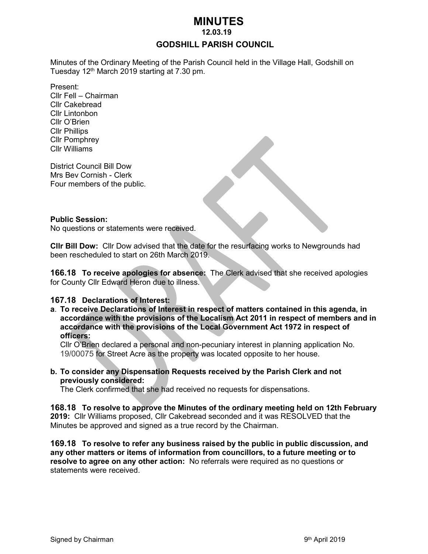# **MINUTES**

 **12.03.19**

## **GODSHILL PARISH COUNCIL**

Minutes of the Ordinary Meeting of the Parish Council held in the Village Hall, Godshill on Tuesday 12<sup>th</sup> March 2019 starting at 7.30 pm.

Present: Cllr Fell – Chairman Cllr Cakebread Cllr Lintonbon Cllr O'Brien Cllr Phillips Cllr Pomphrey Cllr Williams

District Council Bill Dow Mrs Bev Cornish - Clerk Four members of the public.

#### **Public Session:**

No questions or statements were received.

**Cllr Bill Dow:** Cllr Dow advised that the date for the resurfacing works to Newgrounds had been rescheduled to start on 26th March 2019.

**166.18 To receive apologies for absence:** The Clerk advised that she received apologies for County Cllr Edward Heron due to illness.

#### **167.18 Declarations of Interest:**

**a**. **To receive Declarations of Interest in respect of matters contained in this agenda, in accordance with the provisions of the Localism Act 2011 in respect of members and in accordance with the provisions of the Local Government Act 1972 in respect of officers:**

Cllr O'Brien declared a personal and non-pecuniary interest in planning application No. 19/00075 for Street Acre as the property was located opposite to her house.

**b. To consider any Dispensation Requests received by the Parish Clerk and not previously considered:** 

The Clerk confirmed that she had received no requests for dispensations.

**168.18 To resolve to approve the Minutes of the ordinary meeting held on 12th February 2019:** Cllr Williams proposed, Cllr Cakebread seconded and it was RESOLVED that the Minutes be approved and signed as a true record by the Chairman.

**169.18 To resolve to refer any business raised by the public in public discussion, and any other matters or items of information from councillors, to a future meeting or to resolve to agree on any other action:** No referrals were required as no questions or statements were received.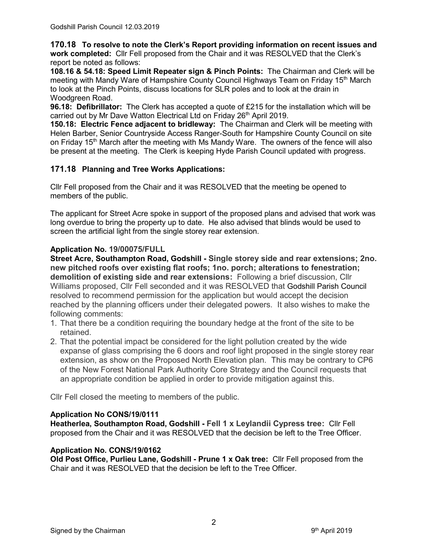**170.18 To resolve to note the Clerk's Report providing information on recent issues and work completed:** Cllr Fell proposed from the Chair and it was RESOLVED that the Clerk's report be noted as follows:

**108.16 & 54.18: Speed Limit Repeater sign & Pinch Points:** The Chairman and Clerk will be meeting with Mandy Ware of Hampshire County Council Highways Team on Friday 15th March to look at the Pinch Points, discuss locations for SLR poles and to look at the drain in Woodgreen Road.

**96.18: Defibrillator:** The Clerk has accepted a quote of £215 for the installation which will be carried out by Mr Dave Watton Electrical Ltd on Friday 26<sup>th</sup> April 2019.

**150.18: Electric Fence adjacent to bridleway:** The Chairman and Clerk will be meeting with Helen Barber, Senior Countryside Access Ranger-South for Hampshire County Council on site on Friday 15<sup>th</sup> March after the meeting with Ms Mandy Ware. The owners of the fence will also be present at the meeting. The Clerk is keeping Hyde Parish Council updated with progress.

# **171.18 Planning and Tree Works Applications:**

Cllr Fell proposed from the Chair and it was RESOLVED that the meeting be opened to members of the public.

The applicant for Street Acre spoke in support of the proposed plans and advised that work was long overdue to bring the property up to date. He also advised that blinds would be used to screen the artificial light from the single storey rear extension.

# **Application No. 19/00075/FULL**

**Street Acre, Southampton Road, Godshill - Single storey side and rear extensions; 2no. new pitched roofs over existing flat roofs; 1no. porch; alterations to fenestration; demolition of existing side and rear extensions:** Following a brief discussion, Cllr Williams proposed, Cllr Fell seconded and it was RESOLVED that Godshill Parish Council resolved to recommend permission for the application but would accept the decision reached by the planning officers under their delegated powers. It also wishes to make the following comments:

- 1. That there be a condition requiring the boundary hedge at the front of the site to be retained.
- 2. That the potential impact be considered for the light pollution created by the wide expanse of glass comprising the 6 doors and roof light proposed in the single storey rear extension, as show on the Proposed North Elevation plan. This may be contrary to CP6 of the New Forest National Park Authority Core Strategy and the Council requests that an appropriate condition be applied in order to provide mitigation against this.

Cllr Fell closed the meeting to members of the public.

## **Application No CONS/19/0111**

**Heatherlea, Southampton Road, Godshill - Fell 1 x Leylandii Cypress tree:** Cllr Fell proposed from the Chair and it was RESOLVED that the decision be left to the Tree Officer.

# **Application No. CONS/19/0162**

**Old Post Office, Purlieu Lane, Godshill - Prune 1 x Oak tree:** Cllr Fell proposed from the Chair and it was RESOLVED that the decision be left to the Tree Officer.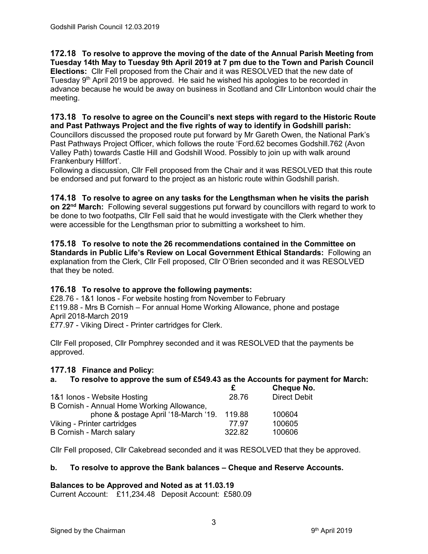**172.18 To resolve to approve the moving of the date of the Annual Parish Meeting from Tuesday 14th May to Tuesday 9th April 2019 at 7 pm due to the Town and Parish Council Elections:** Cllr Fell proposed from the Chair and it was RESOLVED that the new date of Tuesday 9<sup>th</sup> April 2019 be approved. He said he wished his apologies to be recorded in advance because he would be away on business in Scotland and Cllr Lintonbon would chair the meeting.

## **173.18 To resolve to agree on the Council's next steps with regard to the Historic Route and Past Pathways Project and the five rights of way to identify in Godshill parish:**

Councillors discussed the proposed route put forward by Mr Gareth Owen, the National Park's Past Pathways Project Officer, which follows the route 'Ford.62 becomes Godshill.762 (Avon Valley Path) towards Castle Hill and Godshill Wood. Possibly to join up with walk around Frankenbury Hillfort'.

Following a discussion, Cllr Fell proposed from the Chair and it was RESOLVED that this route be endorsed and put forward to the project as an historic route within Godshill parish.

## **174.18 To resolve to agree on any tasks for the Lengthsman when he visits the parish**

**on 22nd March:** Following several suggestions put forward by councillors with regard to work to be done to two footpaths, Cllr Fell said that he would investigate with the Clerk whether they were accessible for the Lengthsman prior to submitting a worksheet to him.

**175.18 To resolve to note the 26 recommendations contained in the Committee on Standards in Public Life's Review on Local Government Ethical Standards:** Following an explanation from the Clerk, Cllr Fell proposed, Cllr O'Brien seconded and it was RESOLVED that they be noted.

## **176.18 To resolve to approve the following payments:**

£28.76 - 1&1 Ionos - For website hosting from November to February £119.88 - Mrs B Cornish – For annual Home Working Allowance, phone and postage April 2018-March 2019 £77.97 - Viking Direct - Printer cartridges for Clerk.

Cllr Fell proposed, Cllr Pomphrey seconded and it was RESOLVED that the payments be approved.

## **177.18 Finance and Policy:**

# **a. To resolve to approve the sum of £549.43 as the Accounts for payment for March:**

|                                            |        | <b>Cheque No.</b>   |
|--------------------------------------------|--------|---------------------|
| 1&1 Ionos - Website Hosting                | 28.76  | <b>Direct Debit</b> |
| B Cornish - Annual Home Working Allowance, |        |                     |
| phone & postage April '18-March '19.       | 119.88 | 100604              |
| Viking - Printer cartridges                | 77.97  | 100605              |
| B Cornish - March salary                   | 322.82 | 100606              |

Cllr Fell proposed, Cllr Cakebread seconded and it was RESOLVED that they be approved.

## **b. To resolve to approve the Bank balances – Cheque and Reserve Accounts.**

## **Balances to be Approved and Noted as at 11.03.19**

Current Account: £11,234.48 Deposit Account: £580.09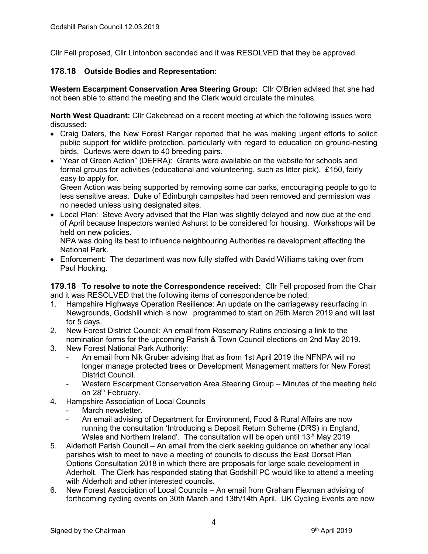Cllr Fell proposed, Cllr Lintonbon seconded and it was RESOLVED that they be approved.

## **178.18 Outside Bodies and Representation:**

**Western Escarpment Conservation Area Steering Group:** Cllr O'Brien advised that she had not been able to attend the meeting and the Clerk would circulate the minutes.

**North West Quadrant:** Cllr Cakebread on a recent meeting at which the following issues were discussed:

- Craig Daters, the New Forest Ranger reported that he was making urgent efforts to solicit public support for wildlife protection, particularly with regard to education on ground-nesting birds. Curlews were down to 40 breeding pairs.
- "Year of Green Action" (DEFRA): Grants were available on the website for schools and formal groups for activities (educational and volunteering, such as litter pick). £150, fairly easy to apply for.

Green Action was being supported by removing some car parks, encouraging people to go to less sensitive areas. Duke of Edinburgh campsites had been removed and permission was no needed unless using designated sites.

• Local Plan: Steve Avery advised that the Plan was slightly delayed and now due at the end of April because Inspectors wanted Ashurst to be considered for housing. Workshops will be held on new policies.

NPA was doing its best to influence neighbouring Authorities re development affecting the National Park.

 Enforcement: The department was now fully staffed with David Williams taking over from Paul Hocking.

**179.18 To resolve to note the Correspondence received:** Cllr Fell proposed from the Chair and it was RESOLVED that the following items of correspondence be noted:

- 1. Hampshire Highways Operation Resilience: An update on the carriageway resurfacing in Newgrounds, Godshill which is now programmed to start on 26th March 2019 and will last for 5 days.
- 2. New Forest District Council: An email from Rosemary Rutins enclosing a link to the nomination forms for the upcoming Parish & Town Council elections on 2nd May 2019.
- 3. New Forest National Park Authority:
	- An email from Nik Gruber advising that as from 1st April 2019 the NFNPA will no longer manage protected trees or Development Management matters for New Forest District Council.
	- Western Escarpment Conservation Area Steering Group Minutes of the meeting held on 28<sup>th</sup> February.
- 4. Hampshire Association of Local Councils
	- March newsletter
		- An email advising of Department for Environment, Food & Rural Affairs are now running the consultation 'Introducing a Deposit Return Scheme (DRS) in England, Wales and Northern Ireland'. The consultation will be open until  $13<sup>th</sup>$  May 2019
- 5. Alderholt Parish Council An email from the clerk seeking guidance on whether any local parishes wish to meet to have a meeting of councils to discuss the East Dorset Plan Options Consultation 2018 in which there are proposals for large scale development in Aderholt. The Clerk has responded stating that Godshill PC would like to attend a meeting with Alderholt and other interested councils.
- 6. New Forest Association of Local Councils An email from Graham Flexman advising of forthcoming cycling events on 30th March and 13th/14th April. UK Cycling Events are now